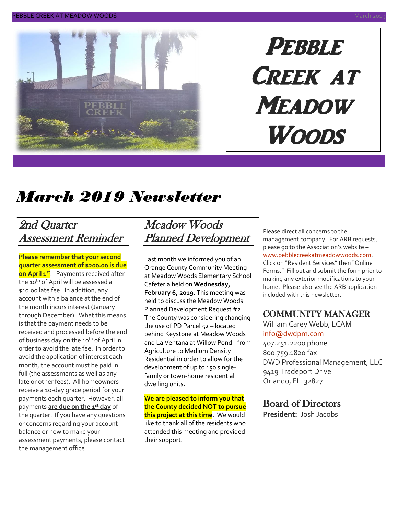

# PEBBLE Creek at **MEADOW Woods**

# *March 2019 Newsletter*

# 2nd Quarter Assessment Reminder

**Please remember that your second quarter assessment of \$200.00 is due on April 1st**. Payments received after the 10<sup>th</sup> of April will be assessed a \$10.00 late fee. In addition, any account with a balance at the end of the month incurs interest (January through December). What this means is that the payment needs to be received and processed before the end of business day on the 10<sup>th</sup> of April in order to avoid the late fee. In order to avoid the application of interest each month, the account must be paid in full (the assessments as well as any late or other fees). All homeowners receive a 10-day grace period for your payments each quarter. However, all payments **are due on the 1st day** of the quarter. If you have any questions or concerns regarding your account balance or how to make your assessment payments, please contact the management office.

# Meadow Woods Planned Development

Last month we informed you of an Orange County Community Meeting at Meadow Woods Elementary School Cafeteria held on **Wednesday, February 6, 2019**. This meeting was held to discuss the Meadow Woods Planned Development Request #2. The County was considering changing the use of PD Parcel 52 - located behind Keystone at Meadow Woods and La Ventana at Willow Pond - from Agriculture to Medium Density Residential in order to allow for the development of up to 150 singlefamily or town-home residential dwelling units.

**We are pleased to inform you that the County decided NOT to pursue this project at this time**. We would like to thank all of the residents who attended this meeting and provided their support.

Please direct all concerns to the management company. For ARB requests, please go to the Association's website – [www.pebblecreekatmeadowwoods.com.](http://www.pebblecreekatmeadowwoods.com/) Click on "Resident Services" then "Online Forms." Fill out and submit the form prior to making any exterior modifications to your home. Please also see the ARB application included with this newsletter.

## COMMUNITY MANAGER

William Carey Webb, LCAM [info@dwdpm.com](mailto:info@dwdpm.com)  407.251.2200 phone 800.759.1820 fax DWD Professional Management, LLC 9419 Tradeport Drive

Orlando, FL 32827

## Board of Directors

**President:** Josh Jacobs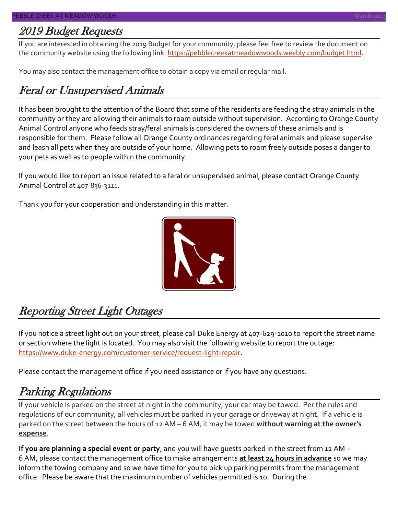## 2019 Budget Requests

If you are interested in obtaining the 2019 Budget for your community, please feel free to review the document on the community website using the following link: [https://pebblecreekatmeadowwoods.weebly.com/budget.html.](https://pebblecreekatmeadowwoods.weebly.com/budget.html)

You may also contact the management office to obtain a copy via email or regular mail.

# Feral or Unsupervised Animals

It has been brought to the attention of the Board that some of the residents are feeding the stray animals in the community or they are allowing their animals to roam outside without supervision. According to Orange County Animal Control anyone who feeds stray/feral animals is considered the owners of these animals and is responsible for them. Please follow all Orange County ordinances regarding feral animals and please supervise and leash all pets when they are outside of your home. Allowing pets to roam freely outside poses a danger to your pets as well as to people within the community.

If you would like to report an issue related to a feral or unsupervised animal, please contact Orange County Animal Control at 407-836-3111.

Thank you for your cooperation and understanding in this matter.



# Reporting Street Light Outages

If you notice a street light out on your street, please call Duke Energy at 407-629-1010 to report the street name or section where the light is located. You may also visit the following website to report the outage: [https://www.duke-energy.com/customer-service/request-light-repair.](https://www.duke-energy.com/customer-service/request-light-repair)

Please contact the management office if you need assistance or if you have any questions.

# Parking Regulations

If your vehicle is parked on the street at night in the community, your car may be towed. Per the rules and regulations of our community, all vehicles must be parked in your garage or driveway at night. If a vehicle is parked on the street between the hours of 12 AM – 6 AM, it may be towed **without warning at the owner's expense**.

**If you are planning a special event or party**, and you will have guests parked in the street from 12 AM – 6 AM, please contact the management office to make arrangements **at least 24 hours in advance** so we may inform the towing company and so we have time for you to pick up parking permits from the management office. Please be aware that the maximum number of vehicles permitted is 10. During the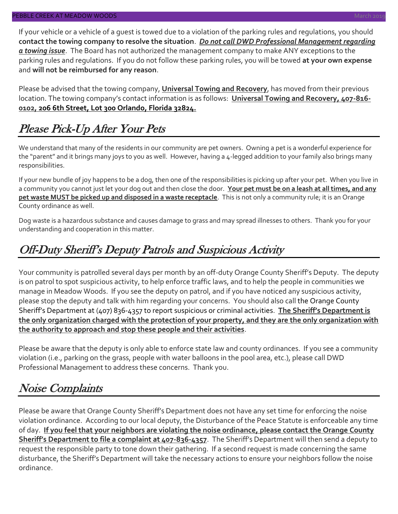If your vehicle or a vehicle of a guest is towed due to a violation of the parking rules and regulations, you should **contact the towing company to resolve the situation**. *Do not call DWD Professional Management regarding a towing issue*. The Board has not authorized the management company to make ANY exceptions to the parking rules and regulations. If you do not follow these parking rules, you will be towed **at your own expense** and **will not be reimbursed for any reason**.

Please be advised that the towing company, **Universal Towing and Recovery**, has moved from their previous location. The towing company's contact information is as follows: **Universal Towing and Recovery, 407-816- 0102, 206 6th Street, Lot 300 Orlando, Florida 32824.**

# Please Pick-Up After Your Pets

We understand that many of the residents in our community are pet owners. Owning a pet is a wonderful experience for the "parent" and it brings many joys to you as well. However, having a 4-legged addition to your family also brings many responsibilities.

If your new bundle of joy happens to be a dog, then one of the responsibilities is picking up after your pet. When you live in a community you cannot just let your dog out and then close the door. **Your pet must be on a leash at all times, and any pet waste MUST be picked up and disposed in a waste receptacle**. This is not only a community rule; it is an Orange County ordinance as well.

Dog waste is a hazardous substance and causes damage to grass and may spread illnesses to others. Thank you for your understanding and cooperation in this matter.

# Off-Duty Sheriff's Deputy Patrols and Suspicious Activity

Your community is patrolled several days per month by an off-duty Orange County Sheriff's Deputy. The deputy is on patrol to spot suspicious activity, to help enforce traffic laws, and to help the people in communities we manage in Meadow Woods. If you see the deputy on patrol, and if you have noticed any suspicious activity, please stop the deputy and talk with him regarding your concerns. You should also call the Orange County Sheriff's Department at (407) 836-4357 to report suspicious or criminal activities. **The Sheriff's Department is the only organization charged with the protection of your property, and they are the only organization with the authority to approach and stop these people and their activities**.

Please be aware that the deputy is only able to enforce state law and county ordinances. If you see a community violation (i.e., parking on the grass, people with water balloons in the pool area, etc.), please call DWD Professional Management to address these concerns. Thank you.

# Noise Complaints

Please be aware that Orange County Sheriff's Department does not have any set time for enforcing the noise violation ordinance. According to our local deputy, the Disturbance of the Peace Statute is enforceable any time of day. **If you feel that your neighbors are violating the noise ordinance, please contact the Orange County Sheriff's Department to file a complaint at 407-836-4357**. The Sheriff's Department will then send a deputy to request the responsible party to tone down their gathering. If a second request is made concerning the same disturbance, the Sheriff's Department will take the necessary actions to ensure your neighbors follow the noise ordinance.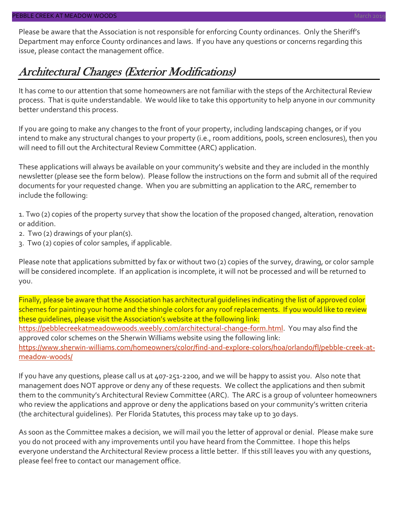# Architectural Changes (Exterior Modifications)

It has come to our attention that some homeowners are not familiar with the steps of the Architectural Review process. That is quite understandable. We would like to take this opportunity to help anyone in our community better understand this process.

If you are going to make any changes to the front of your property, including landscaping changes, or if you intend to make any structural changes to your property (i.e., room additions, pools, screen enclosures), then you will need to fill out the Architectural Review Committee (ARC) application.

These applications will always be available on your community's website and they are included in the monthly newsletter (please see the form below). Please follow the instructions on the form and submit all of the required documents for your requested change. When you are submitting an application to the ARC, remember to include the following:

1. Two (2) copies of the property survey that show the location of the proposed changed, alteration, renovation or addition.

- 2. Two (2) drawings of your plan(s).
- 3. Two (2) copies of color samples, if applicable.

Please note that applications submitted by fax or without two (2) copies of the survey, drawing, or color sample will be considered incomplete. If an application is incomplete, it will not be processed and will be returned to you.

Finally, please be aware that the Association has architectural guidelines indicating the list of approved color schemes for painting your home and the shingle colors for any roof replacements. If you would like to review these guidelines, please visit the Association's website at the following link: [https://pebblecreekatmeadowwoods.weebly.com/architectural-change-form.html.](https://pebblecreekatmeadowwoods.weebly.com/architectural-change-form.html) You may also find the approved color schemes on the Sherwin Williams website using the following link: [https://www.sherwin-williams.com/homeowners/color/find-and-explore-colors/hoa/orlando/fl/pebble-creek-at](https://www.sherwin-williams.com/homeowners/color/find-and-explore-colors/hoa/orlando/fl/pebble-creek-at-meadow-woods/)[meadow-woods/](https://www.sherwin-williams.com/homeowners/color/find-and-explore-colors/hoa/orlando/fl/pebble-creek-at-meadow-woods/)

If you have any questions, please call us at 407-251-2200, and we will be happy to assist you. Also note that management does NOT approve or deny any of these requests. We collect the applications and then submit them to the community's Architectural Review Committee (ARC). The ARC is a group of volunteer homeowners who review the applications and approve or deny the applications based on your community's written criteria (the architectural guidelines). Per Florida Statutes, this process may take up to 30 days.

As soon as the Committee makes a decision, we will mail you the letter of approval or denial. Please make sure you do not proceed with any improvements until you have heard from the Committee. I hope this helps everyone understand the Architectural Review process a little better. If this still leaves you with any questions, please feel free to contact our management office.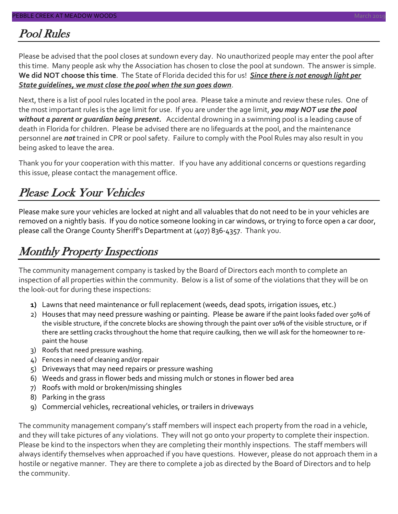## Pool Rules

Please be advised that the pool closes at sundown every day. No unauthorized people may enter the pool after this time. Many people ask why the Association has chosen to close the pool at sundown. The answer is simple. **We did NOT choose this time**. The State of Florida decided this for us! *Since there is not enough light per State guidelines, we must close the pool when the sun goes down*.

Next, there is a list of pool rules located in the pool area. Please take a minute and review these rules. One of the most important rules is the age limit for use. If you are under the age limit, *you may NOT use the pool without a parent or guardian being present.* Accidental drowning in a swimming pool is a leading cause of death in Florida for children. Please be advised there are no lifeguards at the pool, and the maintenance personnel are *not* trained in CPR or pool safety. Failure to comply with the Pool Rules may also result in you being asked to leave the area.

Thank you for your cooperation with this matter. If you have any additional concerns or questions regarding this issue, please contact the management office.

# Please Lock Your Vehicles

Please make sure your vehicles are locked at night and all valuables that do not need to be in your vehicles are removed on a nightly basis. If you do notice someone looking in car windows, or trying to force open a car door, please call the Orange County Sheriff's Department at (407) 836-4357. Thank you.

# Monthly Property Inspections

The community management company is tasked by the Board of Directors each month to complete an inspection of all properties within the community. Below is a list of some of the violations that they will be on the look-out for during these inspections:

- **1)** Lawns that need maintenance or full replacement (weeds, dead spots, irrigation issues, etc.)
- 2) Houses that may need pressure washing or painting. Please be aware if the paint looks faded over 50% of the visible structure, if the concrete blocks are showing through the paint over 10% of the visible structure, or if there are settling cracks throughout the home that require caulking, then we will ask for the homeowner to repaint the house
- 3) Roofs that need pressure washing.
- 4) Fences in need of cleaning and/or repair
- 5) Driveways that may need repairs or pressure washing
- 6) Weeds and grass in flower beds and missing mulch or stones in flower bed area
- 7) Roofs with mold or broken/missing shingles
- 8) Parking in the grass
- 9) Commercial vehicles, recreational vehicles, or trailers in driveways

The community management company's staff members will inspect each property from the road in a vehicle, and they will take pictures of any violations. They will not go onto your property to complete their inspection. Please be kind to the inspectors when they are completing their monthly inspections. The staff members will always identify themselves when approached if you have questions. However, please do not approach them in a hostile or negative manner. They are there to complete a job as directed by the Board of Directors and to help the community.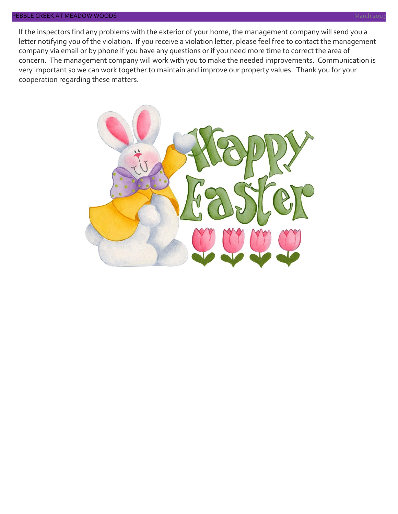If the inspectors find any problems with the exterior of your home, the management company will send you a letter notifying you of the violation. If you receive a violation letter, please feel free to contact the management company via email or by phone if you have any questions or if you need more time to correct the area of concern. The management company will work with you to make the needed improvements. Communication is very important so we can work together to maintain and improve our property values. Thank you for your cooperation regarding these matters.

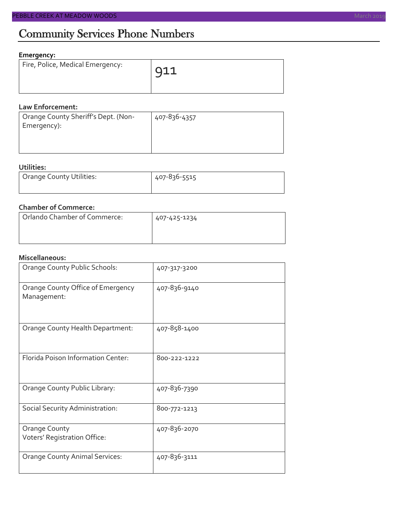# Community Services Phone Numbers

## **Emergency:**

| Fire, Police, Medical Emergency: | $\overline{911}$ |
|----------------------------------|------------------|
|                                  |                  |

#### **Law Enforcement:**

| Orange County Sheriff's Dept. (Non- | 407-836-4357 |
|-------------------------------------|--------------|
| Emergency):                         |              |
|                                     |              |
|                                     |              |

## **Utilities:**

| Orange County Utilities: | 407-836-5515 |  |  |
|--------------------------|--------------|--|--|
|                          |              |  |  |

## **Chamber of Commerce:**

| Orlando Chamber of Commerce: | 407-425-1234 |  |  |
|------------------------------|--------------|--|--|
|                              |              |  |  |

### **Miscellaneous:**

| Orange County Public Schools:                    | 407-317-3200 |
|--------------------------------------------------|--------------|
| Orange County Office of Emergency<br>Management: | 407-836-9140 |
| Orange County Health Department:                 | 407-858-1400 |
| Florida Poison Information Center:               | 800-222-1222 |
| Orange County Public Library:                    | 407-836-7390 |
| Social Security Administration:                  | 800-772-1213 |
| Orange County<br>Voters' Registration Office:    | 407-836-2070 |
| <b>Orange County Animal Services:</b>            | 407-836-3111 |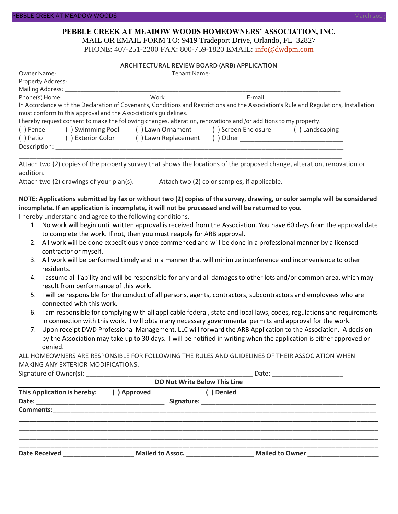#### **PEBBLE CREEK AT MEADOW WOODS HOMEOWNERS' ASSOCIATION, INC.** MAIL OR EMAIL FORM TO: 9419 Tradeport Drive, Orlando, FL 32827

PHONE: 407-251-2200 FAX: 800-759-1820 EMAIL: [info@dwdpm.com](mailto:info@dwdpm.com)

#### **ARCHITECTURAL REVIEW BOARD (ARB) APPLICATION**

|              |                                                                 |                                                                                                                   | E-mail: ____________________________                                                                                                  |
|--------------|-----------------------------------------------------------------|-------------------------------------------------------------------------------------------------------------------|---------------------------------------------------------------------------------------------------------------------------------------|
|              |                                                                 |                                                                                                                   | In Accordance with the Declaration of Covenants, Conditions and Restrictions and the Association's Rule and Requlations, Installation |
|              | must conform to this approval and the Association's quidelines. |                                                                                                                   |                                                                                                                                       |
|              |                                                                 | I hereby request consent to make the following changes, alteration, renovations and /or additions to my property. |                                                                                                                                       |
| () Fence     |                                                                 | () Swimming Pool () Lawn Ornament () Screen Enclosure                                                             | () Landscaping                                                                                                                        |
| ( ) Patio    | ( ) Exterior Color                                              | () Lawn Replacement                                                                                               |                                                                                                                                       |
| Description: |                                                                 |                                                                                                                   |                                                                                                                                       |

Attach two (2) copies of the property survey that shows the locations of the proposed change, alteration, renovation or addition.

\_\_\_\_\_\_\_\_\_\_\_\_\_\_\_\_\_\_\_\_\_\_\_\_\_\_\_\_\_\_\_\_\_\_\_\_\_\_\_\_\_\_\_\_\_\_\_\_\_\_\_\_\_\_\_\_\_\_\_\_\_\_\_\_\_\_\_\_\_\_\_\_\_\_\_\_\_\_\_\_\_\_\_\_\_\_\_\_\_\_\_

Attach two (2) drawings of your plan(s). Attach two (2) color samples, if applicable.

## **NOTE: Applications submitted by fax or without two (2) copies of the survey, drawing, or color sample will be considered incomplete. If an application is incomplete, it will not be processed and will be returned to you.**

I hereby understand and agree to the following conditions.

- 1. No work will begin until written approval is received from the Association. You have 60 days from the approval date to complete the work. If not, then you must reapply for ARB approval.
- 2. All work will be done expeditiously once commenced and will be done in a professional manner by a licensed contractor or myself.
- 3. All work will be performed timely and in a manner that will minimize interference and inconvenience to other residents.
- 4. I assume all liability and will be responsible for any and all damages to other lots and/or common area, which may result from performance of this work.
- 5. I will be responsible for the conduct of all persons, agents, contractors, subcontractors and employees who are connected with this work.
- 6. I am responsible for complying with all applicable federal, state and local laws, codes, regulations and requirements in connection with this work. I will obtain any necessary governmental permits and approval for the work.
- 7. Upon receipt DWD Professional Management, LLC will forward the ARB Application to the Association. A decision by the Association may take up to 30 days. I will be notified in writing when the application is either approved or denied.

ALL HOMEOWNERS ARE RESPONSIBLE FOR FOLLOWING THE RULES AND GUIDELINES OF THEIR ASSOCIATION WHEN MAKING ANY EXTERIOR MODIFICATIONS.

Signature of Owner(s):  $\Box$ 

| <b>DO Not Write Below This Line</b> |             |                  |                 |  |  |
|-------------------------------------|-------------|------------------|-----------------|--|--|
| This Application is hereby:         | () Approved | Denied           |                 |  |  |
| <b>Comments:</b>                    |             |                  |                 |  |  |
| <b>Date Received</b>                |             | Mailed to Assoc. | Mailed to Owner |  |  |